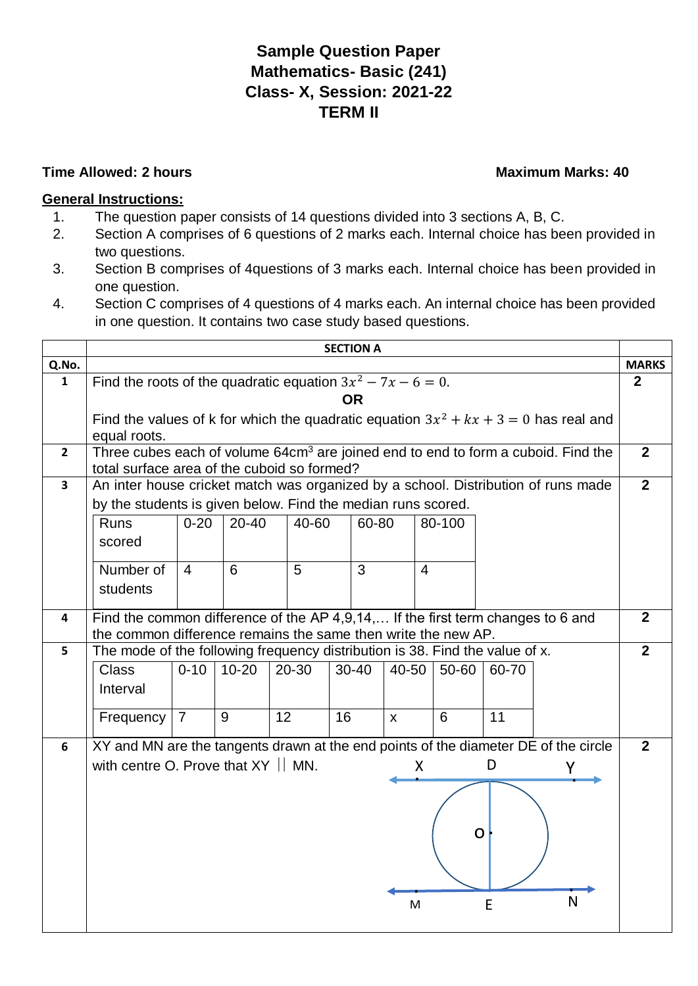## **Sample Question Paper Mathematics- Basic (241) Class- X, Session: 2021-22 TERM II**

## **Time Allowed: 2 hours Maximum Marks: 40**

## **General Instructions:**

- 1. The question paper consists of 14 questions divided into 3 sections A, B, C.
- 2. Section A comprises of 6 questions of 2 marks each. Internal choice has been provided in two questions.
- 3. Section B comprises of 4questions of 3 marks each. Internal choice has been provided in one question.
- 4. Section C comprises of 4 questions of 4 marks each. An internal choice has been provided in one question. It contains two case study based questions.

|                         | <b>SECTION A</b>                                                                              |                                                                                                                                                   |           |    |           |    |           |              |                |              |       |   |                |
|-------------------------|-----------------------------------------------------------------------------------------------|---------------------------------------------------------------------------------------------------------------------------------------------------|-----------|----|-----------|----|-----------|--------------|----------------|--------------|-------|---|----------------|
| Q.No.                   |                                                                                               |                                                                                                                                                   |           |    |           |    |           |              |                | <b>MARKS</b> |       |   |                |
| 1                       | Find the roots of the quadratic equation $3x^2 - 7x - 6 = 0$ .                                |                                                                                                                                                   |           |    |           |    |           | $\mathbf{2}$ |                |              |       |   |                |
|                         | <b>OR</b>                                                                                     |                                                                                                                                                   |           |    |           |    |           |              |                |              |       |   |                |
|                         | Find the values of k for which the quadratic equation $3x^2 + kx + 3 = 0$ has real and        |                                                                                                                                                   |           |    |           |    |           |              |                |              |       |   |                |
|                         | equal roots.                                                                                  |                                                                                                                                                   |           |    |           |    |           |              |                |              |       |   |                |
| $\overline{2}$          | Three cubes each of volume 64cm <sup>3</sup> are joined end to end to form a cuboid. Find the |                                                                                                                                                   |           |    |           |    |           |              |                |              |       |   | $\overline{2}$ |
|                         | total surface area of the cuboid so formed?                                                   |                                                                                                                                                   |           |    |           |    |           |              |                |              |       |   |                |
| $\overline{\mathbf{3}}$ |                                                                                               |                                                                                                                                                   |           |    |           |    |           |              |                |              |       |   | $\overline{2}$ |
|                         |                                                                                               | An inter house cricket match was organized by a school. Distribution of runs made<br>by the students is given below. Find the median runs scored. |           |    |           |    |           |              |                |              |       |   |                |
|                         | Runs                                                                                          | $0 - 20$                                                                                                                                          | $20 - 40$ |    | 40-60     |    | 60-80     |              |                | 80-100       |       |   |                |
|                         | scored                                                                                        |                                                                                                                                                   |           |    |           |    |           |              |                |              |       |   |                |
|                         |                                                                                               |                                                                                                                                                   |           |    |           |    |           |              |                |              |       |   |                |
|                         | Number of                                                                                     | $\overline{4}$                                                                                                                                    | 6         |    | 5         |    | 3         |              | $\overline{4}$ |              |       |   |                |
|                         | students                                                                                      |                                                                                                                                                   |           |    |           |    |           |              |                |              |       |   |                |
| 4                       | Find the common difference of the AP 4,9,14, If the first term changes to 6 and               |                                                                                                                                                   |           |    |           |    |           |              |                |              |       |   | 2 <sup>2</sup> |
|                         | the common difference remains the same then write the new AP.                                 |                                                                                                                                                   |           |    |           |    |           |              |                |              |       |   |                |
| 5                       | The mode of the following frequency distribution is 38. Find the value of x.                  |                                                                                                                                                   |           |    |           |    |           |              |                |              |       |   | $\overline{2}$ |
|                         | <b>Class</b>                                                                                  | $0 - 10$                                                                                                                                          | $10 - 20$ |    | $20 - 30$ |    | $30 - 40$ | 40-50        |                | 50-60        | 60-70 |   |                |
|                         | Interval                                                                                      |                                                                                                                                                   |           |    |           |    |           |              |                |              |       |   |                |
|                         |                                                                                               |                                                                                                                                                   |           |    |           |    |           |              |                |              |       |   |                |
|                         | Frequency   7                                                                                 |                                                                                                                                                   | 9         | 12 |           | 16 |           | $\mathsf{X}$ |                | 6            | 11    |   |                |
|                         |                                                                                               |                                                                                                                                                   |           |    |           |    |           |              |                |              |       |   |                |
| 6                       | XY and MN are the tangents drawn at the end points of the diameter DE of the circle           |                                                                                                                                                   |           |    |           |    |           |              |                |              |       |   | $\overline{2}$ |
|                         | with centre O. Prove that $XY \parallel MN$ .                                                 |                                                                                                                                                   |           |    |           |    |           |              | X              |              | D     | γ |                |
|                         |                                                                                               |                                                                                                                                                   |           |    |           |    |           |              |                |              |       |   |                |
|                         |                                                                                               |                                                                                                                                                   |           |    |           |    |           |              |                |              |       |   |                |
|                         |                                                                                               |                                                                                                                                                   |           |    |           |    |           |              |                |              |       |   |                |
|                         |                                                                                               |                                                                                                                                                   |           |    |           |    |           |              |                |              | Ω     |   |                |
|                         |                                                                                               |                                                                                                                                                   |           |    |           |    |           |              |                |              |       |   |                |
|                         |                                                                                               |                                                                                                                                                   |           |    |           |    |           |              |                |              |       |   |                |
|                         |                                                                                               |                                                                                                                                                   |           |    |           |    |           |              |                |              |       | N |                |
|                         |                                                                                               |                                                                                                                                                   |           |    |           |    |           |              | M              |              | E     |   |                |
|                         |                                                                                               |                                                                                                                                                   |           |    |           |    |           |              |                |              |       |   |                |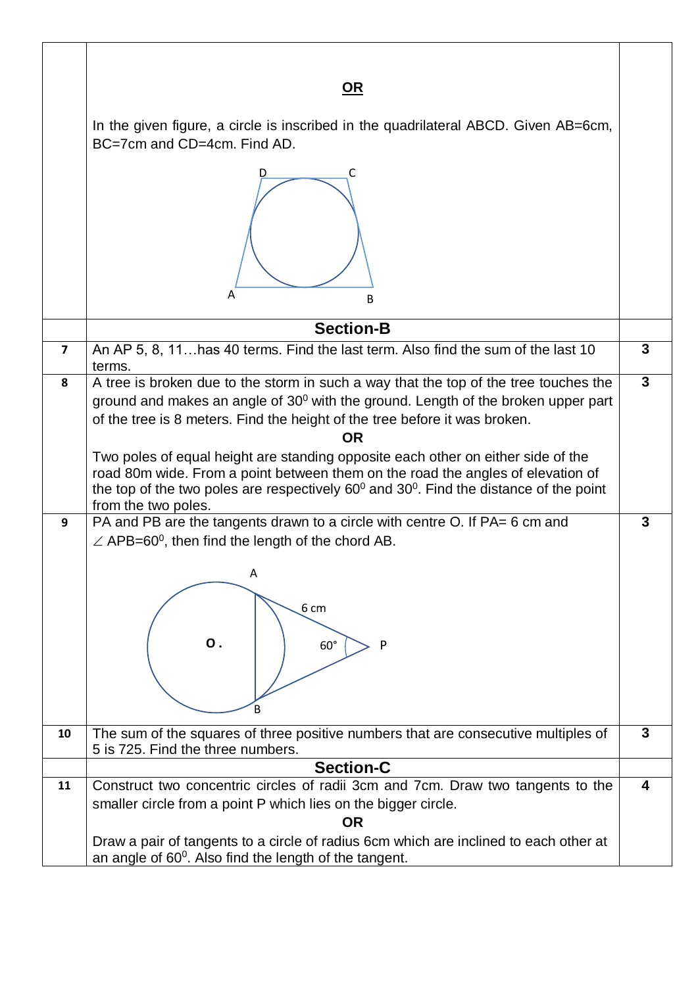|                | <u>OR</u><br>In the given figure, a circle is inscribed in the quadrilateral ABCD. Given AB=6cm,<br>BC=7cm and CD=4cm. Find AD.<br>C<br>Α<br>B                                                                                                                                                                                                                                                                                                                                                                                                                                                                                                                                                                                                                                                            |                         |  |  |  |  |
|----------------|-----------------------------------------------------------------------------------------------------------------------------------------------------------------------------------------------------------------------------------------------------------------------------------------------------------------------------------------------------------------------------------------------------------------------------------------------------------------------------------------------------------------------------------------------------------------------------------------------------------------------------------------------------------------------------------------------------------------------------------------------------------------------------------------------------------|-------------------------|--|--|--|--|
|                | <b>Section-B</b>                                                                                                                                                                                                                                                                                                                                                                                                                                                                                                                                                                                                                                                                                                                                                                                          |                         |  |  |  |  |
| $\overline{7}$ | An AP 5, 8, 11 has 40 terms. Find the last term. Also find the sum of the last 10                                                                                                                                                                                                                                                                                                                                                                                                                                                                                                                                                                                                                                                                                                                         |                         |  |  |  |  |
| 8<br>9         | terms.<br>A tree is broken due to the storm in such a way that the top of the tree touches the<br>ground and makes an angle of $30^0$ with the ground. Length of the broken upper part<br>of the tree is 8 meters. Find the height of the tree before it was broken.<br><b>OR</b><br>Two poles of equal height are standing opposite each other on either side of the<br>road 80m wide. From a point between them on the road the angles of elevation of<br>the top of the two poles are respectively $60^{\circ}$ and $30^{\circ}$ . Find the distance of the point<br>from the two poles.<br>PA and PB are the tangents drawn to a circle with centre O. If PA= 6 cm and<br>$\angle$ APB=60 <sup>0</sup> , then find the length of the chord AB.<br>Α<br>6 cm<br>$\mathbf{O}$ .<br>P<br>$60^\circ$<br>В | 3<br>3                  |  |  |  |  |
| 10             | The sum of the squares of three positive numbers that are consecutive multiples of<br>5 is 725. Find the three numbers.                                                                                                                                                                                                                                                                                                                                                                                                                                                                                                                                                                                                                                                                                   | $\overline{\mathbf{3}}$ |  |  |  |  |
|                | <b>Section-C</b>                                                                                                                                                                                                                                                                                                                                                                                                                                                                                                                                                                                                                                                                                                                                                                                          |                         |  |  |  |  |
| 11             | Construct two concentric circles of radii 3cm and 7cm. Draw two tangents to the<br>smaller circle from a point P which lies on the bigger circle.<br><b>OR</b><br>Draw a pair of tangents to a circle of radius 6cm which are inclined to each other at<br>an angle of 60 <sup>0</sup> . Also find the length of the tangent.                                                                                                                                                                                                                                                                                                                                                                                                                                                                             | $\overline{\mathbf{4}}$ |  |  |  |  |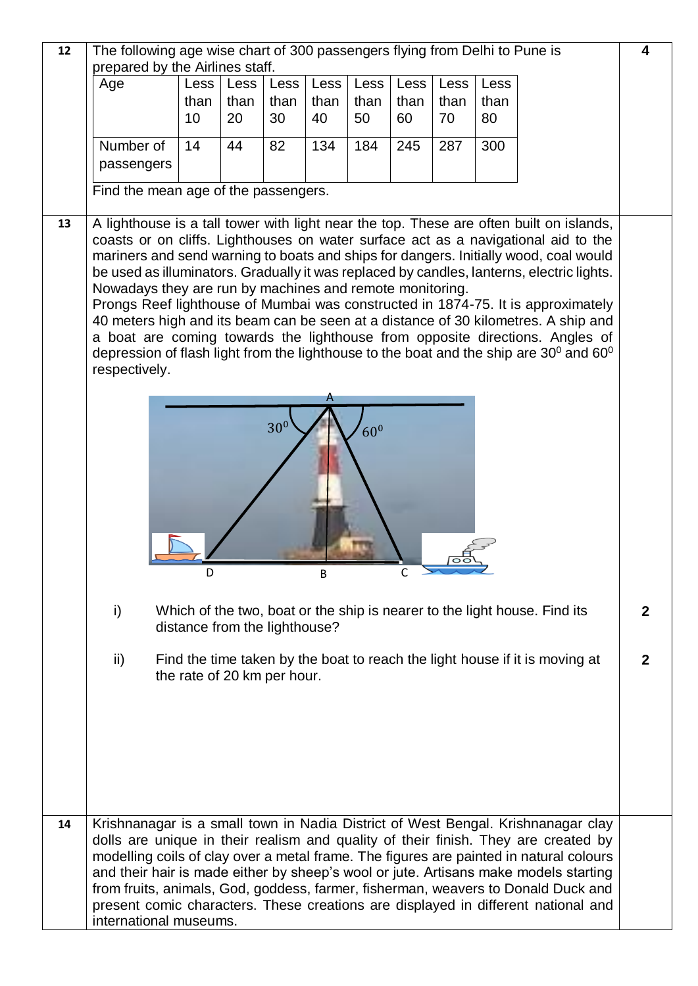| 12     | The following age wise chart of 300 passengers flying from Delhi to Pune is                                                                                            |                                                                                                                                                                                   |                               |      |      |      |      | 4    |      |                                                                                                                                                                              |              |  |  |
|--------|------------------------------------------------------------------------------------------------------------------------------------------------------------------------|-----------------------------------------------------------------------------------------------------------------------------------------------------------------------------------|-------------------------------|------|------|------|------|------|------|------------------------------------------------------------------------------------------------------------------------------------------------------------------------------|--------------|--|--|
|        |                                                                                                                                                                        | prepared by the Airlines staff.<br>Age<br>Less<br>Less<br>Less<br>Less<br>Less<br>Less<br>Less<br>Less                                                                            |                               |      |      |      |      |      |      |                                                                                                                                                                              |              |  |  |
|        |                                                                                                                                                                        | than                                                                                                                                                                              | than                          | than | than | than | than | than | than |                                                                                                                                                                              |              |  |  |
|        |                                                                                                                                                                        | 10                                                                                                                                                                                | 20                            | 30   | 40   | 50   | 60   | 70   | 80   |                                                                                                                                                                              |              |  |  |
|        | Number of                                                                                                                                                              | 14                                                                                                                                                                                | 44                            | 82   | 134  | 184  | 245  | 287  | 300  |                                                                                                                                                                              |              |  |  |
|        | passengers                                                                                                                                                             |                                                                                                                                                                                   |                               |      |      |      |      |      |      |                                                                                                                                                                              |              |  |  |
|        |                                                                                                                                                                        |                                                                                                                                                                                   |                               |      |      |      |      |      |      |                                                                                                                                                                              |              |  |  |
|        | Find the mean age of the passengers.                                                                                                                                   |                                                                                                                                                                                   |                               |      |      |      |      |      |      |                                                                                                                                                                              |              |  |  |
| 13     |                                                                                                                                                                        |                                                                                                                                                                                   |                               |      |      |      |      |      |      | A lighthouse is a tall tower with light near the top. These are often built on islands,                                                                                      |              |  |  |
|        |                                                                                                                                                                        |                                                                                                                                                                                   |                               |      |      |      |      |      |      | coasts or on cliffs. Lighthouses on water surface act as a navigational aid to the                                                                                           |              |  |  |
|        |                                                                                                                                                                        | mariners and send warning to boats and ships for dangers. Initially wood, coal would<br>be used as illuminators. Gradually it was replaced by candles, lanterns, electric lights. |                               |      |      |      |      |      |      |                                                                                                                                                                              |              |  |  |
|        | Nowadays they are run by machines and remote monitoring.                                                                                                               |                                                                                                                                                                                   |                               |      |      |      |      |      |      |                                                                                                                                                                              |              |  |  |
|        |                                                                                                                                                                        |                                                                                                                                                                                   |                               |      |      |      |      |      |      |                                                                                                                                                                              |              |  |  |
|        | Prongs Reef lighthouse of Mumbai was constructed in 1874-75. It is approximately<br>40 meters high and its beam can be seen at a distance of 30 kilometres. A ship and |                                                                                                                                                                                   |                               |      |      |      |      |      |      |                                                                                                                                                                              |              |  |  |
|        |                                                                                                                                                                        |                                                                                                                                                                                   |                               |      |      |      |      |      |      | a boat are coming towards the lighthouse from opposite directions. Angles of<br>depression of flash light from the lighthouse to the boat and the ship are $30^0$ and $60^0$ |              |  |  |
|        | respectively.                                                                                                                                                          |                                                                                                                                                                                   |                               |      |      |      |      |      |      |                                                                                                                                                                              |              |  |  |
|        |                                                                                                                                                                        |                                                                                                                                                                                   |                               |      |      |      |      |      |      |                                                                                                                                                                              |              |  |  |
|        |                                                                                                                                                                        |                                                                                                                                                                                   |                               |      |      |      |      |      |      |                                                                                                                                                                              |              |  |  |
|        | 30 <sup>0</sup><br>60 <sup>0</sup>                                                                                                                                     |                                                                                                                                                                                   |                               |      |      |      |      |      |      |                                                                                                                                                                              |              |  |  |
|        |                                                                                                                                                                        |                                                                                                                                                                                   |                               |      |      |      |      |      |      |                                                                                                                                                                              |              |  |  |
|        |                                                                                                                                                                        |                                                                                                                                                                                   |                               |      |      |      |      |      |      |                                                                                                                                                                              |              |  |  |
|        |                                                                                                                                                                        |                                                                                                                                                                                   |                               |      |      |      |      |      |      |                                                                                                                                                                              |              |  |  |
|        |                                                                                                                                                                        |                                                                                                                                                                                   |                               |      |      |      |      |      |      |                                                                                                                                                                              |              |  |  |
|        |                                                                                                                                                                        |                                                                                                                                                                                   |                               |      |      |      |      |      |      |                                                                                                                                                                              |              |  |  |
| D<br>B |                                                                                                                                                                        |                                                                                                                                                                                   |                               |      |      |      |      |      |      |                                                                                                                                                                              |              |  |  |
|        |                                                                                                                                                                        |                                                                                                                                                                                   |                               |      |      |      |      |      |      |                                                                                                                                                                              |              |  |  |
|        |                                                                                                                                                                        |                                                                                                                                                                                   |                               |      |      |      |      |      |      |                                                                                                                                                                              |              |  |  |
|        | i)<br>Which of the two, boat or the ship is nearer to the light house. Find its                                                                                        |                                                                                                                                                                                   |                               |      |      |      |      |      |      |                                                                                                                                                                              |              |  |  |
|        |                                                                                                                                                                        |                                                                                                                                                                                   | distance from the lighthouse? |      |      |      |      |      |      |                                                                                                                                                                              |              |  |  |
|        | $\mathsf{ii}$                                                                                                                                                          |                                                                                                                                                                                   |                               |      |      |      |      |      |      |                                                                                                                                                                              | $\mathbf{2}$ |  |  |
|        |                                                                                                                                                                        |                                                                                                                                                                                   |                               |      |      |      |      |      |      | Find the time taken by the boat to reach the light house if it is moving at                                                                                                  |              |  |  |
|        | the rate of 20 km per hour.                                                                                                                                            |                                                                                                                                                                                   |                               |      |      |      |      |      |      |                                                                                                                                                                              |              |  |  |
|        |                                                                                                                                                                        |                                                                                                                                                                                   |                               |      |      |      |      |      |      |                                                                                                                                                                              |              |  |  |
|        |                                                                                                                                                                        |                                                                                                                                                                                   |                               |      |      |      |      |      |      |                                                                                                                                                                              |              |  |  |
|        |                                                                                                                                                                        |                                                                                                                                                                                   |                               |      |      |      |      |      |      |                                                                                                                                                                              |              |  |  |
|        |                                                                                                                                                                        |                                                                                                                                                                                   |                               |      |      |      |      |      |      |                                                                                                                                                                              |              |  |  |
|        |                                                                                                                                                                        |                                                                                                                                                                                   |                               |      |      |      |      |      |      |                                                                                                                                                                              |              |  |  |
|        |                                                                                                                                                                        |                                                                                                                                                                                   |                               |      |      |      |      |      |      |                                                                                                                                                                              |              |  |  |
| 14     |                                                                                                                                                                        |                                                                                                                                                                                   |                               |      |      |      |      |      |      | Krishnanagar is a small town in Nadia District of West Bengal. Krishnanagar clay<br>dolls are unique in their realism and quality of their finish. They are created by       |              |  |  |
|        |                                                                                                                                                                        |                                                                                                                                                                                   |                               |      |      |      |      |      |      | modelling coils of clay over a metal frame. The figures are painted in natural colours                                                                                       |              |  |  |
|        |                                                                                                                                                                        |                                                                                                                                                                                   |                               |      |      |      |      |      |      | and their hair is made either by sheep's wool or jute. Artisans make models starting                                                                                         |              |  |  |
|        |                                                                                                                                                                        |                                                                                                                                                                                   |                               |      |      |      |      |      |      | from fruits, animals, God, goddess, farmer, fisherman, weavers to Donald Duck and                                                                                            |              |  |  |
|        | international museums.                                                                                                                                                 |                                                                                                                                                                                   |                               |      |      |      |      |      |      | present comic characters. These creations are displayed in different national and                                                                                            |              |  |  |
|        |                                                                                                                                                                        |                                                                                                                                                                                   |                               |      |      |      |      |      |      |                                                                                                                                                                              |              |  |  |